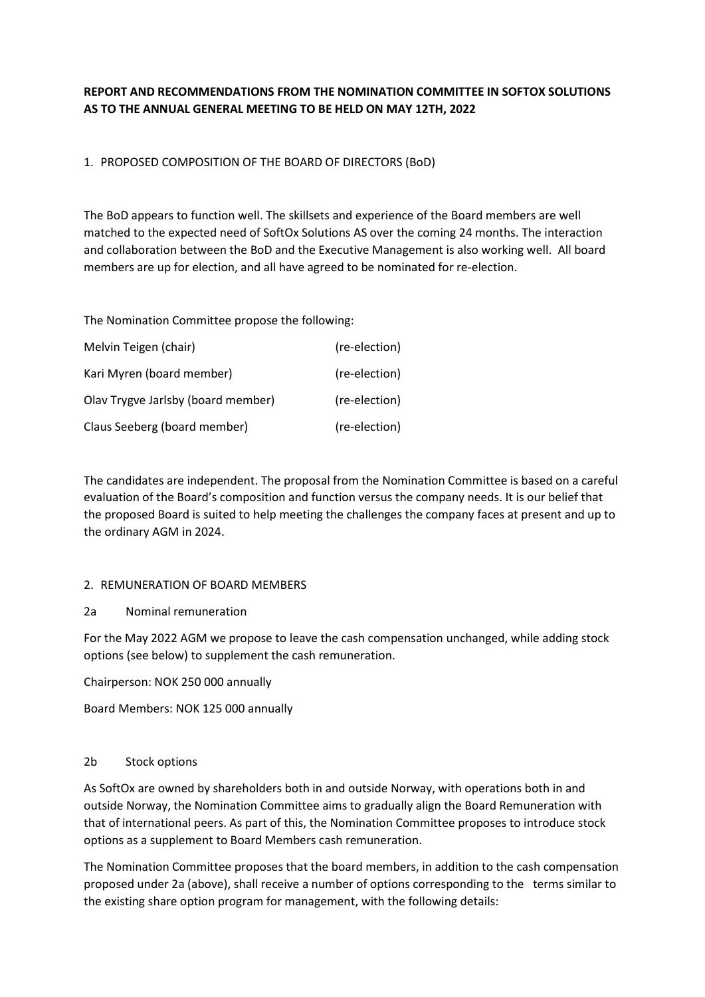# REPORT AND RECOMMENDATIONS FROM THE NOMINATION COMMITTEE IN SOFTOX SOLUTIONS AS TO THE ANNUAL GENERAL MEETING TO BE HELD ON MAY 12TH, 2022

# 1. PROPOSED COMPOSITION OF THE BOARD OF DIRECTORS (BoD)

The BoD appears to function well. The skillsets and experience of the Board members are well matched to the expected need of SoftOx Solutions AS over the coming 24 months. The interaction and collaboration between the BoD and the Executive Management is also working well. All board members are up for election, and all have agreed to be nominated for re-election.

The Nomination Committee propose the following:

| Melvin Teigen (chair)              | (re-election) |  |
|------------------------------------|---------------|--|
| Kari Myren (board member)          | (re-election) |  |
| Olav Trygve Jarlsby (board member) | (re-election) |  |
| Claus Seeberg (board member)       | (re-election) |  |

The candidates are independent. The proposal from the Nomination Committee is based on a careful evaluation of the Board's composition and function versus the company needs. It is our belief that the proposed Board is suited to help meeting the challenges the company faces at present and up to the ordinary AGM in 2024.

#### 2. REMUNERATION OF BOARD MEMBERS

# 2a Nominal remuneration

For the May 2022 AGM we propose to leave the cash compensation unchanged, while adding stock options (see below) to supplement the cash remuneration.

Chairperson: NOK 250 000 annually

Board Members: NOK 125 000 annually

#### 2b Stock options

As SoftOx are owned by shareholders both in and outside Norway, with operations both in and outside Norway, the Nomination Committee aims to gradually align the Board Remuneration with that of international peers. As part of this, the Nomination Committee proposes to introduce stock options as a supplement to Board Members cash remuneration.

The Nomination Committee proposes that the board members, in addition to the cash compensation proposed under 2a (above), shall receive a number of options corresponding to the terms similar to the existing share option program for management, with the following details: